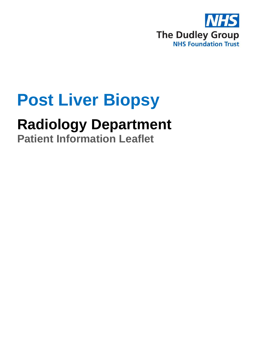

# **Post Liver Biopsy**

## **Radiology Department**

**Patient Information Leaflet**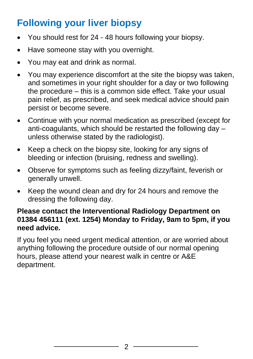### **Following your liver biopsy**

- You should rest for 24 48 hours following your biopsy.
- Have someone stay with you overnight.
- You may eat and drink as normal.
- You may experience discomfort at the site the biopsy was taken, and sometimes in your right shoulder for a day or two following the procedure – this is a common side effect. Take your usual pain relief, as prescribed, and seek medical advice should pain persist or become severe.
- Continue with your normal medication as prescribed (except for anti-coagulants, which should be restarted the following day – unless otherwise stated by the radiologist).
- Keep a check on the biopsy site, looking for any signs of bleeding or infection (bruising, redness and swelling).
- Observe for symptoms such as feeling dizzy/faint, feverish or generally unwell.
- Keep the wound clean and dry for 24 hours and remove the dressing the following day.

#### **Please contact the Interventional Radiology Department on 01384 456111 (ext. 1254) Monday to Friday, 9am to 5pm, if you need advice.**

If you feel you need urgent medical attention, or are worried about anything following the procedure outside of our normal opening hours, please attend your nearest walk in centre or A&E department.